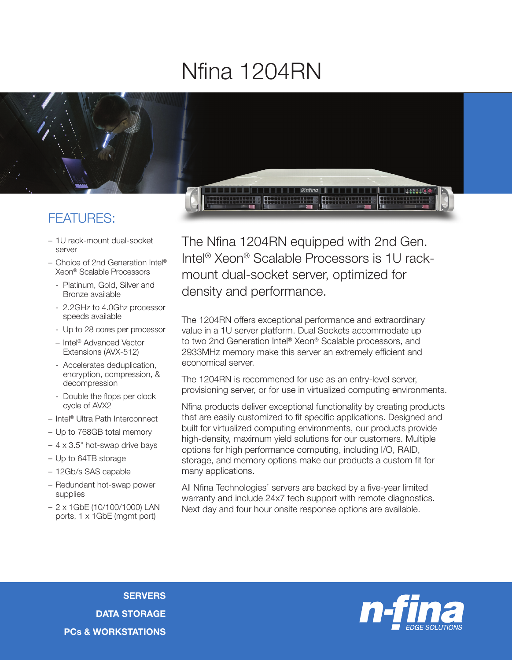## Nfina 1204RN



## FEATURES:

- 1U rack-mount dual-socket server
- Choice of 2nd Generation Intel® Xeon® Scalable Processors
	- Platinum, Gold, Silver and Bronze available
	- 2.2GHz to 4.0Ghz processor speeds available
	- Up to 28 cores per processor
	- Intel® Advanced Vector Extensions (AVX-512)
	- Accelerates deduplication, encryption, compression, & decompression
	- Double the flops per clock cycle of AVX2
- Intel® Ultra Path Interconnect
- Up to 768GB total memory
- 4 x 3.5" hot-swap drive bays
- Up to 64TB storage
- 12Gb/s SAS capable
- Redundant hot-swap power supplies
- 2 x 1GbE (10/100/1000) LAN ports, 1 x 1GbE (mgmt port)

The Nfina 1204RN equipped with 2nd Gen. Intel® Xeon® Scalable Processors is 1U rackmount dual-socket server, optimized for density and performance.

The 1204RN offers exceptional performance and extraordinary value in a 1U server platform. Dual Sockets accommodate up to two 2nd Generation Intel® Xeon® Scalable processors, and 2933MHz memory make this server an extremely efficient and economical server.

The 1204RN is recommened for use as an entry-level server, provisioning server, or for use in virtualized computing environments.

Nfina products deliver exceptional functionality by creating products that are easily customized to fit specific applications. Designed and built for virtualized computing environments, our products provide high-density, maximum yield solutions for our customers. Multiple options for high performance computing, including I/O, RAID, storage, and memory options make our products a custom fit for many applications.

All Nfina Technologies' servers are backed by a five-year limited warranty and include 24x7 tech support with remote diagnostics. Next day and four hour onsite response options are available.

**SERVERS** DATA STORAGE PCs & WORKSTATIONS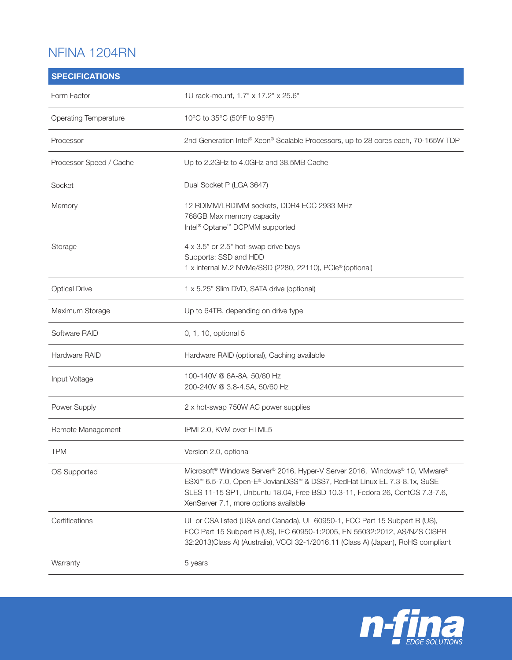## NFINA 1204RN

| <b>SPECIFICATIONS</b>   |                                                                                                                                                                                                                                                                                                        |
|-------------------------|--------------------------------------------------------------------------------------------------------------------------------------------------------------------------------------------------------------------------------------------------------------------------------------------------------|
| Form Factor             | 1U rack-mount, 1.7" x 17.2" x 25.6"                                                                                                                                                                                                                                                                    |
| Operating Temperature   | 10°C to 35°C (50°F to 95°F)                                                                                                                                                                                                                                                                            |
| Processor               | 2nd Generation Intel® Xeon® Scalable Processors, up to 28 cores each, 70-165W TDP                                                                                                                                                                                                                      |
| Processor Speed / Cache | Up to 2.2GHz to 4.0GHz and 38.5MB Cache                                                                                                                                                                                                                                                                |
| Socket                  | Dual Socket P (LGA 3647)                                                                                                                                                                                                                                                                               |
| Memory                  | 12 RDIMM/LRDIMM sockets, DDR4 ECC 2933 MHz<br>768GB Max memory capacity<br>Intel <sup>®</sup> Optane <sup>™</sup> DCPMM supported                                                                                                                                                                      |
| Storage                 | 4 x 3.5" or 2.5" hot-swap drive bays<br>Supports: SSD and HDD<br>1 x internal M.2 NVMe/SSD (2280, 22110), PCle® (optional)                                                                                                                                                                             |
| <b>Optical Drive</b>    | 1 x 5.25" Slim DVD, SATA drive (optional)                                                                                                                                                                                                                                                              |
| Maximum Storage         | Up to 64TB, depending on drive type                                                                                                                                                                                                                                                                    |
| Software RAID           | 0, 1, 10, optional 5                                                                                                                                                                                                                                                                                   |
| Hardware RAID           | Hardware RAID (optional), Caching available                                                                                                                                                                                                                                                            |
| Input Voltage           | 100-140V @ 6A-8A, 50/60 Hz<br>200-240V @ 3.8-4.5A, 50/60 Hz                                                                                                                                                                                                                                            |
| Power Supply            | 2 x hot-swap 750W AC power supplies                                                                                                                                                                                                                                                                    |
| Remote Management       | IPMI 2.0, KVM over HTML5                                                                                                                                                                                                                                                                               |
| <b>TPM</b>              | Version 2.0, optional                                                                                                                                                                                                                                                                                  |
| OS Supported            | Microsoft <sup>®</sup> Windows Server® 2016, Hyper-V Server 2016, Windows® 10, VMware®<br>ESXi <sup>™</sup> 6.5-7.0, Open-E® JovianDSS™ & DSS7, RedHat Linux EL 7.3-8.1x, SuSE<br>SLES 11-15 SP1, Unbuntu 18.04, Free BSD 10.3-11, Fedora 26, CentOS 7.3-7.6,<br>XenServer 7.1, more options available |
| Certifications          | UL or CSA listed (USA and Canada), UL 60950-1, FCC Part 15 Subpart B (US),<br>FCC Part 15 Subpart B (US), IEC 60950-1:2005, EN 55032:2012, AS/NZS CISPR<br>32:2013(Class A) (Australia), VCCI 32-1/2016.11 (Class A) (Japan), RoHS compliant                                                           |
| Warranty                | 5 years                                                                                                                                                                                                                                                                                                |